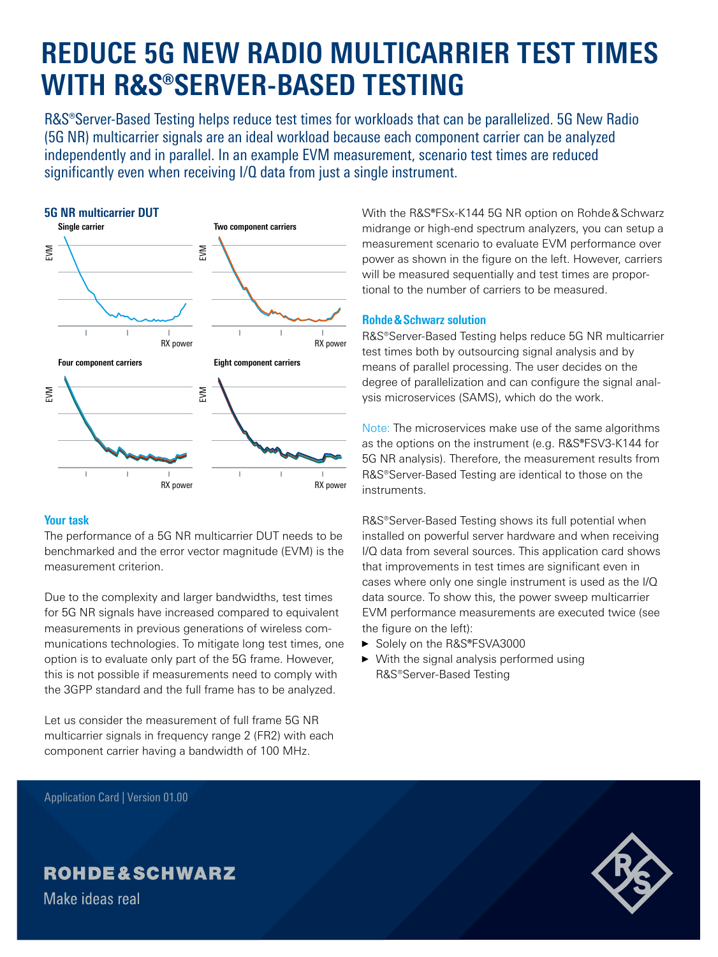# **REDUCE 5G NEW RADIO MULTICARRIER TEST TIMES WITH R&S®SERVER-BASED TESTING**

R&S®Server-Based Testing helps reduce test times for workloads that can be parallelized. 5G New Radio (5G NR) multicarrier signals are an ideal workload because each component carrier can be analyzed independently and in parallel. In an example EVM measurement, scenario test times are reduced significantly even when receiving I/Q data from just a single instrument.





# **Your task**

The performance of a 5G NR multicarrier DUT needs to be benchmarked and the error vector magnitude (EVM) is the measurement criterion.

Due to the complexity and larger bandwidths, test times for 5G NR signals have increased compared to equivalent measurements in previous generations of wireless communications technologies. To mitigate long test times, one option is to evaluate only part of the 5G frame. However, this is not possible if measurements need to comply with the 3GPP standard and the full frame has to be analyzed.

Let us consider the measurement of full frame 5G NR multicarrier signals in frequency range 2 (FR2) with each component carrier having a bandwidth of 100 MHz.

Application Card | Version 01.00

With the R&S**®**FSx-K144 5G NR option on Rohde&Schwarz midrange or high-end spectrum analyzers, you can setup a measurement scenario to evaluate EVM performance over power as shown in the figure on the left. However, carriers will be measured sequentially and test times are proportional to the number of carriers to be measured.

# **Rohde&Schwarz solution**

R&S®Server-Based Testing helps reduce 5G NR multicarrier test times both by outsourcing signal analysis and by means of parallel processing. The user decides on the degree of parallelization and can configure the signal analysis microservices (SAMS), which do the work.

Note: The microservices make use of the same algorithms as the options on the instrument (e.g. R&S**®**FSV3-K144 for 5G NR analysis). Therefore, the measurement results from R&S®Server-Based Testing are identical to those on the instruments.

R&S®Server-Based Testing shows its full potential when installed on powerful server hardware and when receiving I/Q data from several sources. This application card shows that improvements in test times are significant even in cases where only one single instrument is used as the I/Q data source. To show this, the power sweep multicarrier EVM performance measurements are executed twice (see the figure on the left):

- ► Solely on the R&S**®**FSVA3000
- ► With the signal analysis performed using R&S®Server-Based Testing



Make ideas real